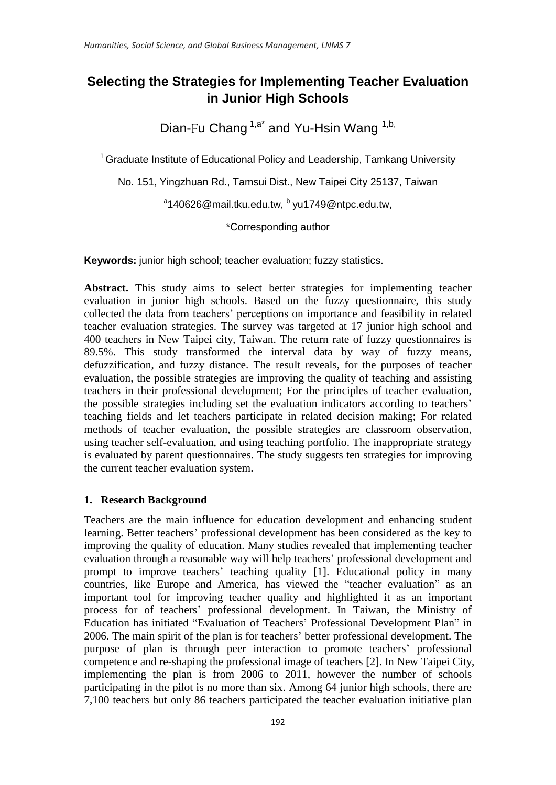# **Selecting the Strategies for Implementing Teacher Evaluation in Junior High Schools**

Dian-Fu Chang <sup>1,a\*</sup> and Yu-Hsin Wang <sup>1,b,</sup>

 $1$  Graduate Institute of Educational Policy and Leadership, Tamkang University

No. 151, Yingzhuan Rd., Tamsui Dist., New Taipei City 25137, Taiwan

<sup>a</sup>140626@mail.tku.edu.tw, <sup>b</sup> yu1749@ntpc.edu.tw,

\*Corresponding author

**Keywords:** junior high school; teacher evaluation; fuzzy statistics.

**Abstract.** This study aims to select better strategies for implementing teacher evaluation in junior high schools. Based on the fuzzy questionnaire, this study collected the data from teachers' perceptions on importance and feasibility in related teacher evaluation strategies. The survey was targeted at 17 junior high school and 400 teachers in New Taipei city, Taiwan. The return rate of fuzzy questionnaires is 89.5%. This study transformed the interval data by way of fuzzy means, defuzzification, and fuzzy distance. The result reveals, for the purposes of teacher evaluation, the possible strategies are improving the quality of teaching and assisting teachers in their professional development; For the principles of teacher evaluation, the possible strategies including set the evaluation indicators according to teachers' teaching fields and let teachers participate in related decision making; For related methods of teacher evaluation, the possible strategies are classroom observation, using teacher self-evaluation, and using teaching portfolio. The inappropriate strategy is evaluated by parent questionnaires. The study suggests ten strategies for improving the current teacher evaluation system.

# **1. Research Background**

Teachers are the main influence for education development and enhancing student learning. Better teachers' professional development has been considered as the key to improving the quality of education. Many studies revealed that implementing teacher evaluation through a reasonable way will help teachers' professional development and prompt to improve teachers' teaching quality [1]. Educational policy in many countries, like Europe and America, has viewed the "teacher evaluation" as an important tool for improving teacher quality and highlighted it as an important process for of teachers' professional development. In Taiwan, the Ministry of Education has initiated "Evaluation of Teachers' Professional Development Plan" in 2006. The main spirit of the plan is for teachers' better professional development. The purpose of plan is through peer interaction to promote teachers' professional competence and re-shaping the professional image of teachers [2]. In New Taipei City, implementing the plan is from 2006 to 2011, however the number of schools participating in the pilot is no more than six. Among 64 junior high schools, there are 7,100 teachers but only 86 teachers participated the teacher evaluation initiative plan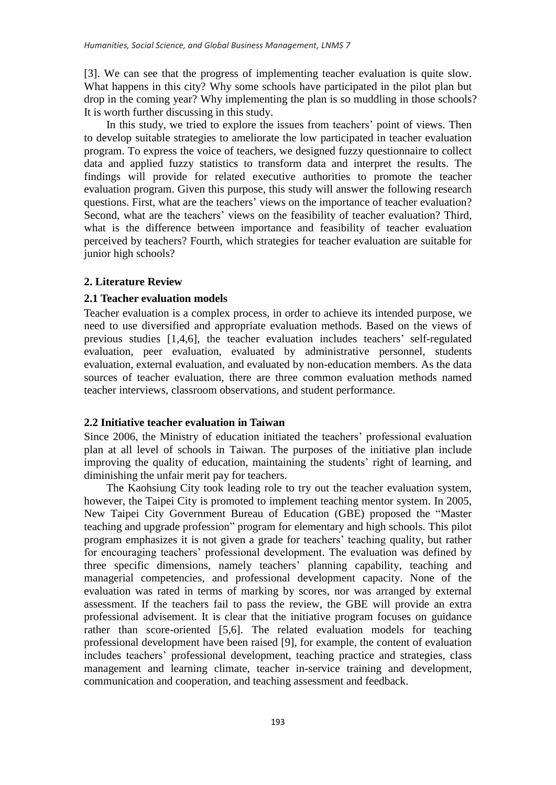[3]. We can see that the progress of implementing teacher evaluation is quite slow. What happens in this city? Why some schools have participated in the pilot plan but drop in the coming year? Why implementing the plan is so muddling in those schools? It is worth further discussing in this study.

In this study, we tried to explore the issues from teachers' point of views. Then to develop suitable strategies to ameliorate the low participated in teacher evaluation program. To express the voice of teachers, we designed fuzzy questionnaire to collect data and applied fuzzy statistics to transform data and interpret the results. The findings will provide for related executive authorities to promote the teacher evaluation program. Given this purpose, this study will answer the following research questions. First, what are the teachers' views on the importance of teacher evaluation? Second, what are the teachers' views on the feasibility of teacher evaluation? Third, what is the difference between importance and feasibility of teacher evaluation perceived by teachers? Fourth, which strategies for teacher evaluation are suitable for junior high schools?

#### **2. Literature Review**

#### **2.1 Teacher evaluation models**

Teacher evaluation is a complex process, in order to achieve its intended purpose, we need to use diversified and appropriate evaluation methods. Based on the views of previous studies [1,4,6], the teacher evaluation includes teachers' self-regulated evaluation, peer evaluation, evaluated by administrative personnel, students evaluation, external evaluation, and evaluated by non-education members. As the data sources of teacher evaluation, there are three common evaluation methods named teacher interviews, classroom observations, and student performance.

### **2.2 Initiative teacher evaluation in Taiwan**

Since 2006, the Ministry of education initiated the teachers' professional evaluation plan at all level of schools in Taiwan. The purposes of the initiative plan include improving the quality of education, maintaining the students' right of learning, and diminishing the unfair merit pay for teachers.

The Kaohsiung City took leading role to try out the teacher evaluation system, however, the Taipei City is promoted to implement teaching mentor system. In 2005, New Taipei City Government Bureau of Education (GBE) proposed the "Master teaching and upgrade profession" program for elementary and high schools. This pilot program emphasizes it is not given a grade for teachers' teaching quality, but rather for encouraging teachers' professional development. The evaluation was defined by three specific dimensions, namely teachers' planning capability, teaching and managerial competencies, and professional development capacity. None of the evaluation was rated in terms of marking by scores, nor was arranged by external assessment. If the teachers fail to pass the review, the GBE will provide an extra professional advisement. It is clear that the initiative program focuses on guidance rather than score-oriented [5,6]. The related evaluation models for teaching professional development have been raised [9], for example, the content of evaluation includes teachers' professional development, teaching practice and strategies, class management and learning climate, teacher in-service training and development, communication and cooperation, and teaching assessment and feedback.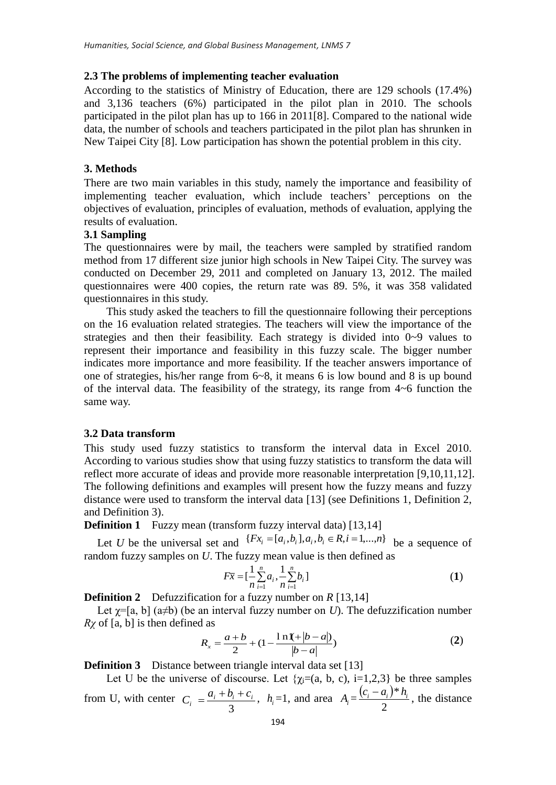## **2.3 The problems of implementing teacher evaluation**

According to the statistics of Ministry of Education, there are 129 schools (17.4%) and 3,136 teachers (6%) participated in the pilot plan in 2010. The schools participated in the pilot plan has up to 166 in 2011[8]. Compared to the national wide data, the number of schools and teachers participated in the pilot plan has shrunken in New Taipei City [8]. Low participation has shown the potential problem in this city.

# **3. Methods**

There are two main variables in this study, namely the importance and feasibility of implementing teacher evaluation, which include teachers' perceptions on the objectives of evaluation, principles of evaluation, methods of evaluation, applying the results of evaluation.

# **3.1 Sampling**

The questionnaires were by mail, the teachers were sampled by stratified random method from 17 different size junior high schools in New Taipei City. The survey was conducted on December 29, 2011 and completed on January 13, 2012. The mailed questionnaires were 400 copies, the return rate was 89. 5%, it was 358 validated questionnaires in this study.

This study asked the teachers to fill the questionnaire following their perceptions on the 16 evaluation related strategies. The teachers will view the importance of the strategies and then their feasibility. Each strategy is divided into 0~9 values to represent their importance and feasibility in this fuzzy scale. The bigger number indicates more importance and more feasibility. If the teacher answers importance of one of strategies, his/her range from 6~8, it means 6 is low bound and 8 is up bound of the interval data. The feasibility of the strategy, its range from 4~6 function the same way.

# **3.2 Data transform**

This study used fuzzy statistics to transform the interval data in Excel 2010. According to various studies show that using fuzzy statistics to transform the data will reflect more accurate of ideas and provide more reasonable interpretation [9,10,11,12]. The following definitions and examples will present how the fuzzy means and fuzzy distance were used to transform the interval data [13] (see Definitions 1, Definition 2, and Definition 3).

**Definition 1** Fuzzy mean (transform fuzzy interval data) [13,14]

Let *U* be the universal set and  $\{Fx_i = [a_i, b_i], a_i, b_i \in R, i = 1,...,n\}$  be a sequence of random fuzzy samples on *U*. The fuzzy mean value is then defined as

$$
F\overline{x} = \left[\frac{1}{n}\sum_{i=1}^{n} a_i, \frac{1}{n}\sum_{i=1}^{n} b_i\right]
$$
 (1)

**Definition 2** Defuzzification for a fuzzy number on *R* [13,14]

Let  $\chi$ =[a, b] (a $\neq$ b) (be an interval fuzzy number on *U*). The defuzzification number *Rχ* of [a, b] is then defined as

$$
R_x = \frac{a+b}{2} + (1 - \frac{\ln(1 + |b-a|)}{|b-a|})
$$
 (2)

**Definition 3** Distance between triangle interval data set [13]

Let U be the universe of discourse. Let  $\{\chi_i=(a, b, c), i=1,2,3\}$  be three samples from U, with center 3  $\frac{a_i + b_i + c_i}{2}$  $C_i = \frac{a_i + b_i + c_i}{2}$ ,  $h_i = 1$ , and area  $A_i = \frac{(c_i - a_i)}{2}$ 2  $\frac{(c_i - a_i)*h_i}{2}$ , the distance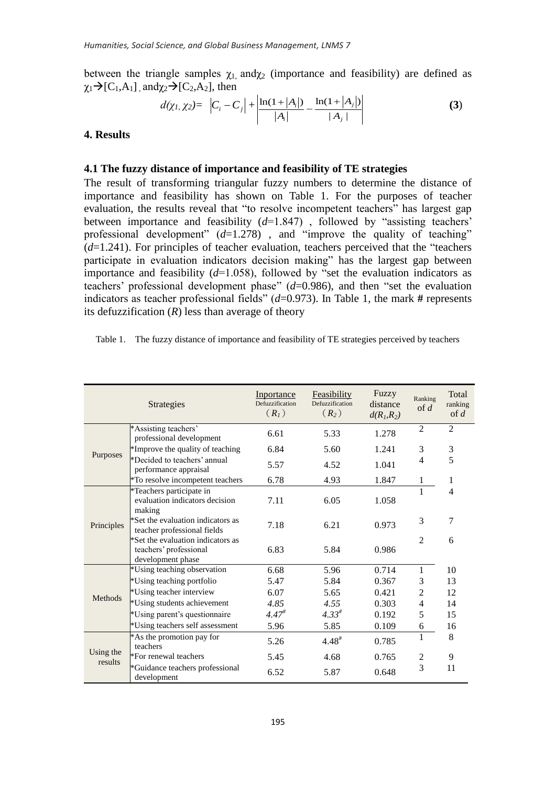between the triangle samples  $\chi_1$ , and $\chi_2$  (importance and feasibility) are defined as  $\chi_1\rightarrow[C_1,A_1]$ , and $\chi_2\rightarrow[C_2,A_2]$ , then

$$
d(\chi_1, \chi_2) = \left| C_i - C_j \right| + \left| \frac{\ln(1 + |A_i|)}{|A_i|} - \frac{\ln(1 + |A_j|)}{|A_j|} \right| \tag{3}
$$

#### **4. Results**

## **4.1 The fuzzy distance of importance and feasibility of TE strategies**

The result of transforming triangular fuzzy numbers to determine the distance of importance and feasibility has shown on Table 1. For the purposes of teacher evaluation, the results reveal that "to resolve incompetent teachers" has largest gap between importance and feasibility (*d*=1.847) , followed by "assisting teachers' professional development"  $(d=1.278)$ , and "improve the quality of teaching" (*d*=1.241). For principles of teacher evaluation, teachers perceived that the "teachers participate in evaluation indicators decision making" has the largest gap between importance and feasibility  $(d=1.058)$ , followed by "set the evaluation indicators as teachers' professional development phase" (*d*=0.986), and then "set the evaluation indicators as teacher professional fields" (*d*=0.973). In Table 1, the mark **#** represents its defuzzification  $(R)$  less than average of theory

| Table 1. | The fuzzy distance of importance and feasibility of TE strategies perceived by teachers |  |  |
|----------|-----------------------------------------------------------------------------------------|--|--|
|          |                                                                                         |  |  |

|                      | <b>Strategies</b>                                                                | Inportance<br>Defuzzification<br>(R <sub>1</sub> ) | Feasibility<br>Defuzzification<br>$(R_2)$ | Fuzzy<br>distance<br>$d(R_1,R_2)$ | Ranking<br>of $d$ | Total<br>ranking<br>of $d$ |
|----------------------|----------------------------------------------------------------------------------|----------------------------------------------------|-------------------------------------------|-----------------------------------|-------------------|----------------------------|
| Purposes             | *Assisting teachers'<br>professional development                                 | 6.61                                               | 5.33                                      | 1.278                             | $\overline{2}$    | $\overline{2}$             |
|                      | *Improve the quality of teaching                                                 | 6.84                                               | 5.60                                      | 1.241                             | 3                 | 3                          |
|                      | *Decided to teachers' annual<br>performance appraisal                            | 5.57                                               | 4.52                                      | 1.041                             | 4                 | 5                          |
|                      | *To resolve incompetent teachers                                                 | 6.78                                               | 4.93                                      | 1.847                             | 1                 | 1                          |
| Principles           | *Teachers participate in<br>evaluation indicators decision<br>making             | 7.11                                               | 6.05                                      | 1.058                             |                   | 4                          |
|                      | *Set the evaluation indicators as<br>teacher professional fields                 | 7.18                                               | 6.21                                      | 0.973                             | 3                 | 7                          |
|                      | *Set the evaluation indicators as<br>teachers' professional<br>development phase | 6.83                                               | 5.84                                      | 0.986                             | $\mathfrak{D}$    | 6                          |
| Methods              | *Using teaching observation                                                      | 6.68                                               | 5.96                                      | 0.714                             | 1                 | 10                         |
|                      | *Using teaching portfolio                                                        | 5.47                                               | 5.84                                      | 0.367                             | 3                 | 13                         |
|                      | *Using teacher interview                                                         | 6.07                                               | 5.65                                      | 0.421                             | $\overline{2}$    | 12                         |
|                      | *Using students achievement                                                      | 4.85                                               | 4.55                                      | 0.303                             | 4                 | 14                         |
|                      | *Using parent's questionnaire                                                    | $4.47^{#}$                                         | $4.33^{#}$                                | 0.192                             | 5                 | 15                         |
|                      | *Using teachers self assessment                                                  | 5.96                                               | 5.85                                      | 0.109                             | 6                 | 16                         |
| Using the<br>results | *As the promotion pay for<br>teachers                                            | 5.26                                               | $4.48^{\#}$                               | 0.785                             | 1                 | 8                          |
|                      | *For renewal teachers                                                            | 5.45                                               | 4.68                                      | 0.765                             | 2                 | 9                          |
|                      | *Guidance teachers professional<br>development                                   | 6.52                                               | 5.87                                      | 0.648                             | $\overline{3}$    | 11                         |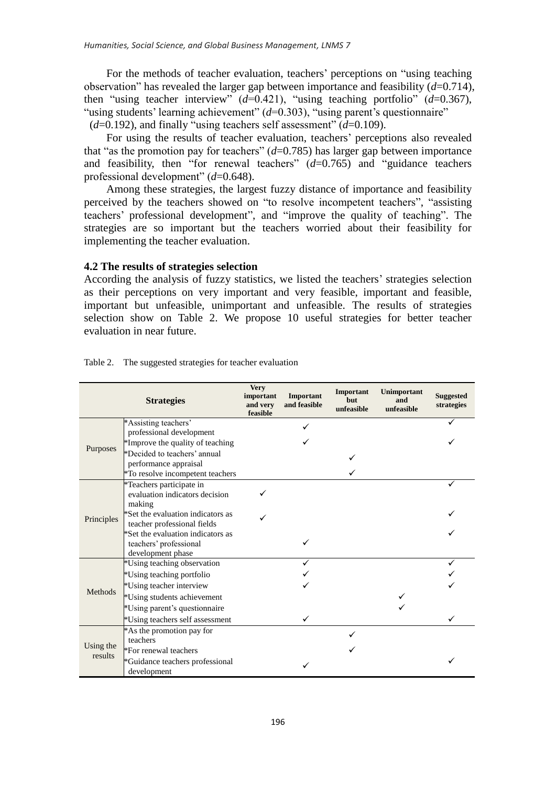For the methods of teacher evaluation, teachers' perceptions on "using teaching observation" has revealed the larger gap between importance and feasibility (*d*=0.714), then "using teacher interview"  $(d=0.421)$ , "using teaching portfolio"  $(d=0.367)$ , "using students' learning achievement" (*d*=0.303), "using parent's questionnaire" (*d*=0.192), and finally "using teachers self assessment" (*d*=0.109).

For using the results of teacher evaluation, teachers' perceptions also revealed that "as the promotion pay for teachers"  $(d=0.785)$  has larger gap between importance and feasibility, then "for renewal teachers" (*d*=0.765) and "guidance teachers professional development" (*d*=0.648).

Among these strategies, the largest fuzzy distance of importance and feasibility perceived by the teachers showed on "to resolve incompetent teachers", "assisting teachers' professional development", and "improve the quality of teaching". The strategies are so important but the teachers worried about their feasibility for implementing the teacher evaluation.

### **4.2 The results of strategies selection**

According the analysis of fuzzy statistics, we listed the teachers' strategies selection as their perceptions on very important and very feasible, important and feasible, important but unfeasible, unimportant and unfeasible. The results of strategies selection show on Table 2. We propose 10 useful strategies for better teacher evaluation in near future.

| <b>Strategies</b>    |                                                                                  | <b>Very</b><br>important<br>and very<br>feasible | Important<br>and feasible | Important<br><b>but</b><br>unfeasible | Unimportant<br>and<br>unfeasible | <b>Suggested</b><br>strategies |
|----------------------|----------------------------------------------------------------------------------|--------------------------------------------------|---------------------------|---------------------------------------|----------------------------------|--------------------------------|
| Purposes             | *Assisting teachers'                                                             |                                                  |                           |                                       |                                  |                                |
|                      | professional development<br>*Improve the quality of teaching                     |                                                  |                           |                                       |                                  |                                |
|                      | *Decided to teachers' annual                                                     |                                                  |                           |                                       |                                  |                                |
|                      | performance appraisal                                                            |                                                  |                           |                                       |                                  |                                |
|                      | *To resolve incompetent teachers                                                 |                                                  |                           |                                       |                                  |                                |
| Principles           | *Teachers participate in<br>evaluation indicators decision<br>making             |                                                  |                           |                                       |                                  |                                |
|                      | *Set the evaluation indicators as<br>teacher professional fields                 |                                                  |                           |                                       |                                  |                                |
|                      | *Set the evaluation indicators as<br>teachers' professional<br>development phase |                                                  |                           |                                       |                                  |                                |
|                      | *Using teaching observation                                                      |                                                  |                           |                                       |                                  |                                |
|                      | *Using teaching portfolio                                                        |                                                  |                           |                                       |                                  |                                |
| Methods              | *Using teacher interview                                                         |                                                  |                           |                                       |                                  |                                |
|                      | *Using students achievement                                                      |                                                  |                           |                                       |                                  |                                |
|                      | *Using parent's questionnaire                                                    |                                                  |                           |                                       |                                  |                                |
|                      | *Using teachers self assessment                                                  |                                                  |                           |                                       |                                  |                                |
| Using the<br>results | *As the promotion pay for                                                        |                                                  |                           |                                       |                                  |                                |
|                      | teachers                                                                         |                                                  |                           |                                       |                                  |                                |
|                      | *For renewal teachers                                                            |                                                  |                           |                                       |                                  |                                |
|                      | *Guidance teachers professional<br>development                                   |                                                  |                           |                                       |                                  |                                |

Table 2. The suggested strategies for teacher evaluation